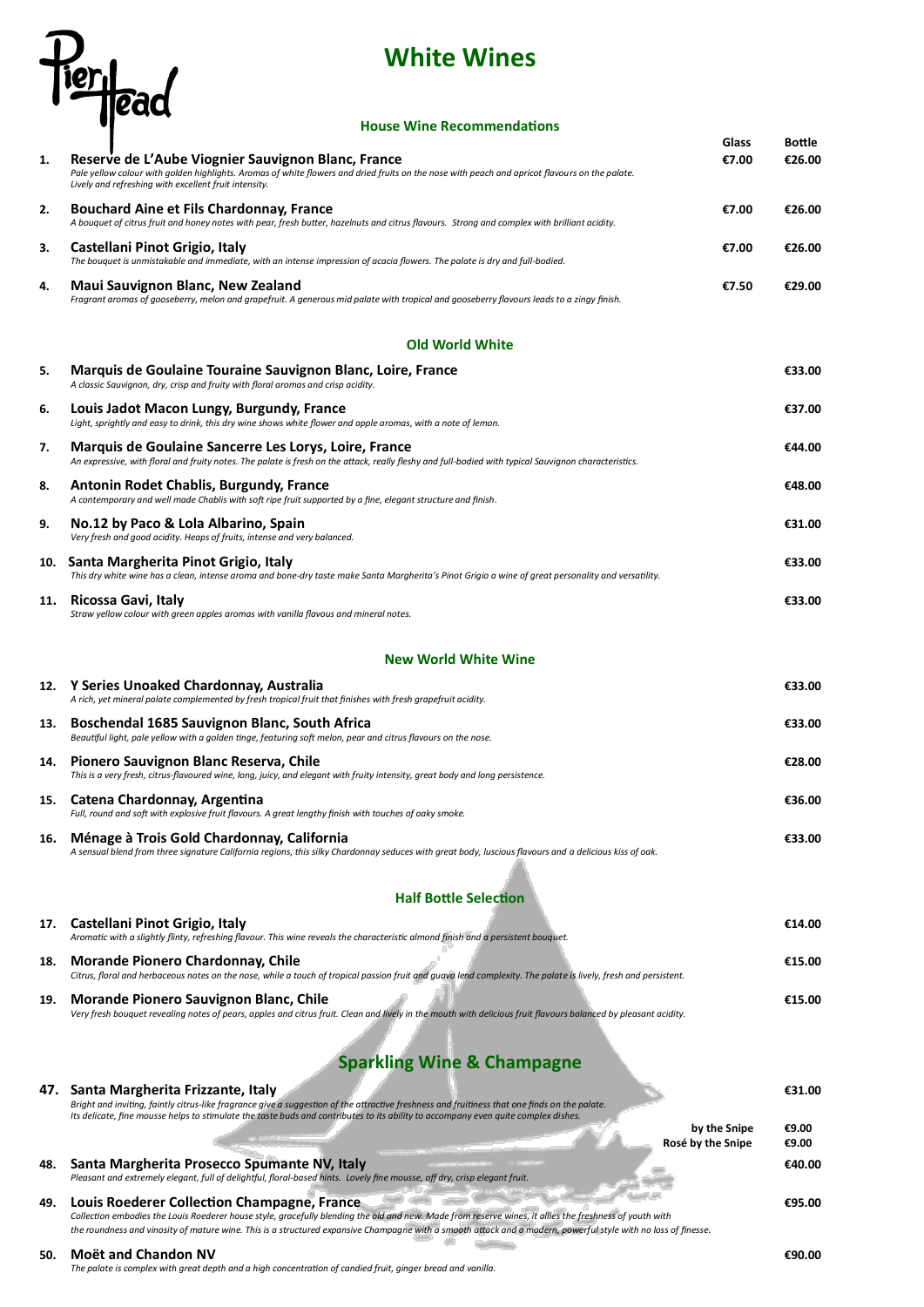## **White Wines**

# Pierilead

### **House Wine Recommendations**

|     |                                                                                                                                                                                                                                                               | <b>Glass</b> | <b>Bottle</b> |
|-----|---------------------------------------------------------------------------------------------------------------------------------------------------------------------------------------------------------------------------------------------------------------|--------------|---------------|
| 1.  | Reserve de L'Aube Viognier Sauvignon Blanc, France<br>Pale yellow colour with golden highlights. Aromas of white flowers and dried fruits on the nose with peach and apricot flavours on the palate.<br>Lively and refreshing with excellent fruit intensity. | €7.00        | €26.00        |
| 2.  | <b>Bouchard Aine et Fils Chardonnay, France</b><br>A bouquet of citrus fruit and honey notes with pear, fresh butter, hazelnuts and citrus flavours. Strong and complex with brilliant acidity.                                                               | €7.00        | €26.00        |
| 3.  | Castellani Pinot Grigio, Italy<br>The bouquet is unmistakable and immediate, with an intense impression of acacia flowers. The palate is dry and full-bodied.                                                                                                 | €7.00        | €26.00        |
| 4.  | <b>Maui Sauvignon Blanc, New Zealand</b><br>Fragrant aromas of gooseberry, melon and grapefruit. A generous mid palate with tropical and gooseberry flavours leads to a zingy finish.                                                                         | €7.50        | €29.00        |
|     | <b>Old World White</b>                                                                                                                                                                                                                                        |              |               |
| 5.  | Marquis de Goulaine Touraine Sauvignon Blanc, Loire, France<br>A classic Sauvignon, dry, crisp and fruity with floral aromas and crisp acidity.                                                                                                               |              | €33.00        |
| 6.  | Louis Jadot Macon Lungy, Burgundy, France<br>Light, sprightly and easy to drink, this dry wine shows white flower and apple aromas, with a note of lemon.                                                                                                     |              | €37.00        |
| 7.  | Marquis de Goulaine Sancerre Les Lorys, Loire, France<br>An expressive, with floral and fruity notes. The palate is fresh on the attack, really fleshy and full-bodied with typical Sauvignon characteristics.                                                |              | €44.00        |
| 8.  | <b>Antonin Rodet Chablis, Burgundy, France</b><br>A contemporary and well made Chablis with soft ripe fruit supported by a fine, elegant structure and finish.                                                                                                |              | €48.00        |
| 9.  | No.12 by Paco & Lola Albarino, Spain<br>Very fresh and good acidity. Heaps of fruits, intense and very balanced.                                                                                                                                              |              | €31.00        |
| 10. | Santa Margherita Pinot Grigio, Italy<br>This dry white wine has a clean, intense aroma and bone-dry taste make Santa Margherita's Pinot Grigio a wine of great personality and versatility.                                                                   |              | €33.00        |
|     | 11. Ricossa Gavi, Italy<br>Straw yellow colour with green apples aromas with vanilla flavous and mineral notes.                                                                                                                                               |              | €33.00        |
|     | <b>New World White Wine</b>                                                                                                                                                                                                                                   |              |               |
|     | 12. Y Series Unoaked Chardonnay, Australia<br>A rich, yet mineral palate complemented by fresh tropical fruit that finishes with fresh grapefruit acidity.                                                                                                    |              | €33.00        |
| 13. | <b>Boschendal 1685 Sauvignon Blanc, South Africa</b><br>Beautiful light, pale yellow with a golden tinge, featuring soft melon, pear and citrus flavours on the nose.                                                                                         |              | €33.00        |
|     | 14. Pionero Sauvignon Blanc Reserva, Chile<br>This is a very fresh, citrus-flavoured wine, long, juicy, and elegant with fruity intensity, great body and long persistence.                                                                                   |              | €28.00        |
| 15. | Catena Chardonnay, Argentina<br>Full, round and soft with explosive fruit flavours. A great lengthy finish with touches of oaky smoke.                                                                                                                        |              | €36.00        |
| 16. | Ménage à Trois Gold Chardonnay, California<br>A sensual blend from three signature California regions, this silky Chardonnay seduces with great body, luscious flavours and a delicious kiss of oak.                                                          |              | €33.00        |
|     |                                                                                                                                                                                                                                                               |              |               |

**Half Bottle Selection**

|     | 17. Castellani Pinot Grigio, Italy<br>Aromatic with a slightly flinty, refreshing flavour. This wine reveals the characteristic almond finish and a persistent bouquet.                                     | €14.00 |
|-----|-------------------------------------------------------------------------------------------------------------------------------------------------------------------------------------------------------------|--------|
| 18. | <b>Morande Pionero Chardonnay, Chile</b><br>Citrus, floral and herbaceous notes on the nose, while a touch of tropical passion fruit and guava lend complexity. The palate is lively, fresh and persistent. | €15.00 |

### **19. Morande Pionero Sauvignon Blanc, Chile €15.00**

*Very fresh bouquet revealing notes of pears, apples and citrus fruit. Clean and lively in the mouth with delicious fruit flavours balanced by pleasant acidity.* 

### **Sparkling Wine & Champagne**

### **47. Santa Margherita Frizzante, Italy €31.00**

*Bright and inviting, faintly citrus-like fragrance give a suggestion of the attractive freshness and fruitiness that one finds on the palate. Its delicate, fine mousse helps to stimulate the taste buds and contributes to its ability to accompany even quite complex dishes.*

> **by the Snipe €9.00 Rosé by the Snipe €9.00**

### **48. Santa Margherita Prosecco Spumante NV, Italy €40.00**

Pleasant and extremely elegant, full of delightful, floral-based hints. Lovely fine mousse, off dry, crisp elegant fruit.

### **49. Louis Roederer Collection Champagne, France €95.00**

*Collection embodies the Louis Roederer house style, gracefully blending the old and new. Made from reserve wines, it allies the freshness of youth with the roundness and vinosity of mature wine. This is a structured expansive Champagne with a smooth attack and a modern, powerful style with no loss of finesse.*

#### **50. Moët and Chandon NV €90.00**

*The palate is complex with great depth and a high concentration of candied fruit, ginger bread and vanilla.*